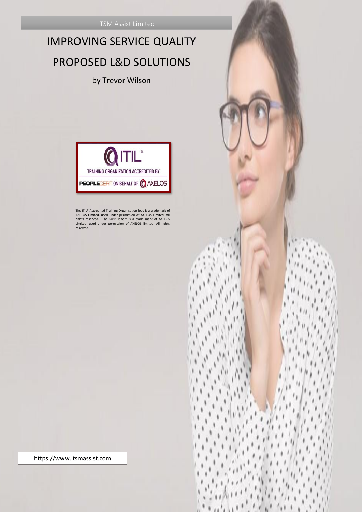# IMPROVING SERVICE QUALITY PROPOSED L&D SOLUTIONS

by Trevor Wilson



The ITL® Accredited Training Organisation logo is a trademark of<br>AXELOS Limited, used under permission of AXELOS Limited. All<br>rights reserved. The Swirl logo™ is a trade mark of AXELOS<br>Limited, used under permission of AXE reserved.

https://www.itsmassist.com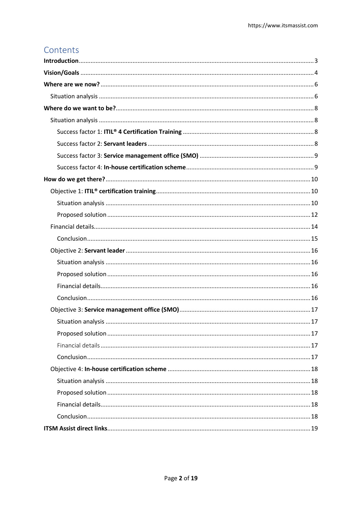# Contents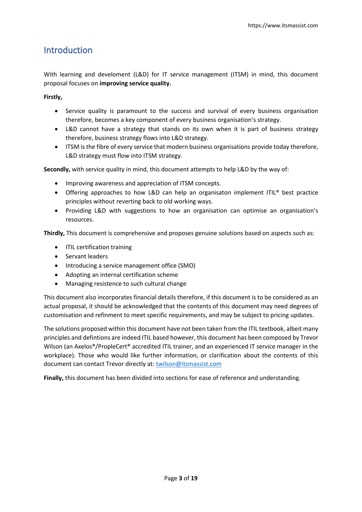# <span id="page-2-0"></span>Introduction

With learning and develoment (L&D) for IT service management (ITSM) in mind, this document proposal focuses on **improving service quality.**

**Firstly,**

- Service quality is paramount to the success and survival of every business organisation therefore, becomes a key component of every business organisation's strategy.
- L&D cannot have a strategy that stands on its own when it is part of business strategy therefore, business strategy flows into L&D strategy.
- ITSM is the fibre of every service that modern business organisations provide today therefore, L&D strategy must flow into ITSM strategy.

**Secondly,** with service quality in mind, this document attempts to help L&D by the way of:

- Improving awareness and appreciation of ITSM concepts.
- Offering approaches to how L&D can help an organisaton implement ITIL® best practice principles without reverting back to old working ways.
- Providing L&D with suggestions to how an organisation can optimise an organisation's resources.

**Thirdly,** This document is comprehensive and proposes genuine solutions based on aspects such as:

- ITIL certification training
- Servant leaders
- Introducing a service management office (SMO)
- Adopting an internal certification scheme
- Managing resistence to such cultural change

This document also incorporates financial details therefore, if this document is to be considered as an actual proposal, it should be acknowledged that the contents of this document may need degrees of customisation and refinment to meet specific requirements, and may be subject to pricing updates.

The solutions proposed within this document have not been taken from the ITIL textbook, albeit many principles and defintions are indeed ITIL based however, this document has been composed by Trevor Wilson (an Axelos®/PropleCert® accredited ITIL trainer, and an experienced IT service manager in the workplace). Those who would like further information, or clarification about the contents of this document can contact Trevor directly at[: twilson@itsmassist.com](mailto:twilson@itsmassist.com)

**Finally,** this document has been divided into sections for ease of reference and understanding.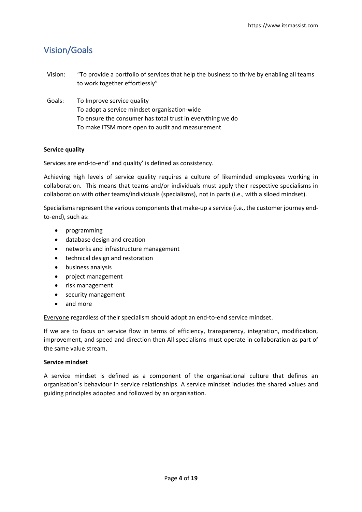# <span id="page-3-0"></span>Vision/Goals

| Vision: | "To provide a portfolio of services that help the business to thrive by enabling all teams<br>to work together effortlessly" |
|---------|------------------------------------------------------------------------------------------------------------------------------|
| Goals:  | To Improve service quality                                                                                                   |
|         | To adopt a service mindset organisation-wide                                                                                 |
|         | To ensure the consumer has total trust in everything we do                                                                   |
|         | To make ITSM more open to audit and measurement                                                                              |

#### **Service quality**

Services are end-to-end' and quality' is defined as consistency.

Achieving high levels of service quality requires a culture of likeminded employees working in collaboration. This means that teams and/or individuals must apply their respective specialisms in collaboration with other teams/individuals (specialisms), not in parts (i.e., with a siloed mindset).

Specialisms represent the various components that make-up a service (i.e., the customer journey endto-end), such as:

- programming
- database design and creation
- networks and infrastructure management
- technical design and restoration
- business analysis
- project management
- risk management
- security management
- and more

Everyone regardless of their specialism should adopt an end-to-end service mindset.

If we are to focus on service flow in terms of efficiency, transparency, integration, modification, improvement, and speed and direction then All specialisms must operate in collaboration as part of the same value stream.

#### **Service mindset**

A service mindset is defined as a component of the organisational culture that defines an organisation's behaviour in service relationships. A service mindset includes the shared values and guiding principles adopted and followed by an organisation.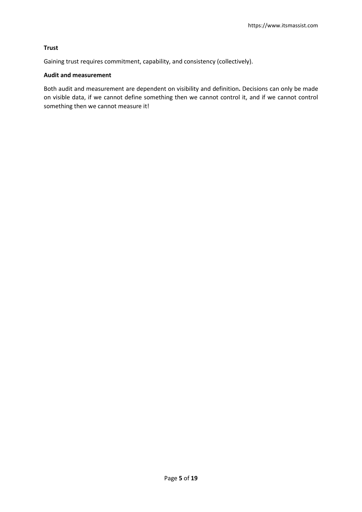#### **Trust**

Gaining trust requires commitment, capability, and consistency (collectively).

#### **Audit and measurement**

Both audit and measurement are dependent on visibility and definition**.** Decisions can only be made on visible data, if we cannot define something then we cannot control it, and if we cannot control something then we cannot measure it!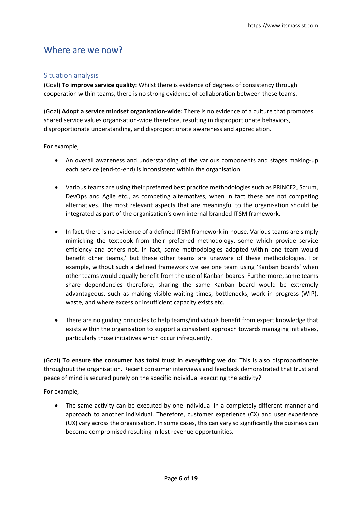### <span id="page-5-0"></span>Where are we now?

#### <span id="page-5-1"></span>Situation analysis

(Goal) **To improve service quality:** Whilst there is evidence of degrees of consistency through cooperation within teams, there is no strong evidence of collaboration between these teams.

(Goal) **Adopt a service mindset organisation-wide:** There is no evidence of a culture that promotes shared service values organisation-wide therefore, resulting in disproportionate behaviors, disproportionate understanding, and disproportionate awareness and appreciation.

For example,

- An overall awareness and understanding of the various components and stages making-up each service (end-to-end) is inconsistent within the organisation.
- Various teams are using their preferred best practice methodologies such as PRINCE2, Scrum, DevOps and Agile etc., as competing alternatives, when in fact these are not competing alternatives. The most relevant aspects that are meaningful to the organisation should be integrated as part of the organisation's own internal branded ITSM framework.
- In fact, there is no evidence of a defined ITSM framework in-house. Various teams are simply mimicking the textbook from their preferred methodology, some which provide service efficiency and others not. In fact, some methodologies adopted within one team would benefit other teams,' but these other teams are unaware of these methodologies. For example, without such a defined framework we see one team using 'Kanban boards' when other teams would equally benefit from the use of Kanban boards. Furthermore, some teams share dependencies therefore, sharing the same Kanban board would be extremely advantageous, such as making visible waiting times, bottlenecks, work in progress (WIP), waste, and where excess or insufficient capacity exists etc.
- There are no guiding principles to help teams/individuals benefit from expert knowledge that exists within the organisation to support a consistent approach towards managing initiatives, particularly those initiatives which occur infrequently.

(Goal) **To ensure the consumer has total trust in everything we do:** This is also disproportionate throughout the organisation. Recent consumer interviews and feedback demonstrated that trust and peace of mind is secured purely on the specific individual executing the activity?

For example,

• The same activity can be executed by one individual in a completely different manner and approach to another individual. Therefore, customer experience (CX) and user experience (UX) vary across the organisation. In some cases, this can vary so significantly the business can become compromised resulting in lost revenue opportunities.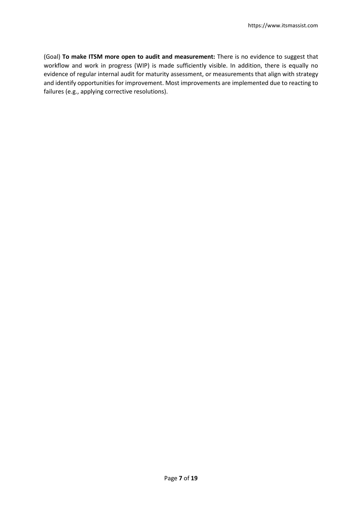(Goal) **To make ITSM more open to audit and measurement:** There is no evidence to suggest that workflow and work in progress (WIP) is made sufficiently visible. In addition, there is equally no evidence of regular internal audit for maturity assessment, or measurements that align with strategy and identify opportunities for improvement. Most improvements are implemented due to reacting to failures (e.g., applying corrective resolutions).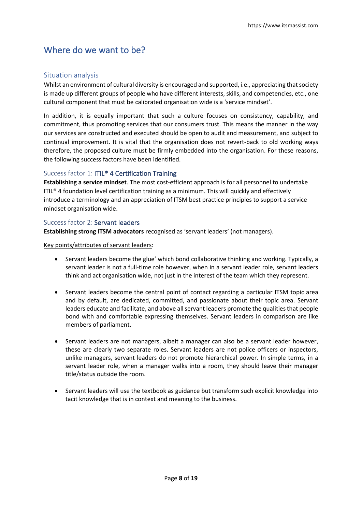## <span id="page-7-0"></span>Where do we want to be?

#### <span id="page-7-1"></span>Situation analysis

Whilst an environment of cultural diversity is encouraged and supported, i.e., appreciating that society is made up different groups of people who have different interests, skills, and competencies, etc., one cultural component that must be calibrated organisation wide is a 'service mindset'.

In addition, it is equally important that such a culture focuses on consistency, capability, and commitment, thus promoting services that our consumers trust. This means the manner in the way our services are constructed and executed should be open to audit and measurement, and subject to continual improvement. It is vital that the organisation does not revert-back to old working ways therefore, the proposed culture must be firmly embedded into the organisation. For these reasons, the following success factors have been identified.

#### <span id="page-7-2"></span>Success factor 1: ITIL® 4 Certification Training

**Establishing a service mindset**. The most cost-efficient approach is for all personnel to undertake ITIL® 4 foundation level certification training as a minimum. This will quickly and effectively introduce a terminology and an appreciation of ITSM best practice principles to support a service mindset organisation wide.

#### <span id="page-7-3"></span>Success factor 2: Servant leaders

**Establishing strong ITSM advocators** recognised as 'servant leaders' (not managers).

Key points/attributes of servant leaders:

- Servant leaders become the glue' which bond collaborative thinking and working. Typically, a servant leader is not a full-time role however, when in a servant leader role, servant leaders think and act organisation wide, not just in the interest of the team which they represent.
- Servant leaders become the central point of contact regarding a particular ITSM topic area and by default, are dedicated, committed, and passionate about their topic area. Servant leaders educate and facilitate, and above allservant leaders promote the qualities that people bond with and comfortable expressing themselves. Servant leaders in comparison are like members of parliament.
- Servant leaders are not managers, albeit a manager can also be a servant leader however, these are clearly two separate roles. Servant leaders are not police officers or inspectors, unlike managers, servant leaders do not promote hierarchical power. In simple terms, in a servant leader role, when a manager walks into a room, they should leave their manager title/status outside the room.
- Servant leaders will use the textbook as guidance but transform such explicit knowledge into tacit knowledge that is in context and meaning to the business.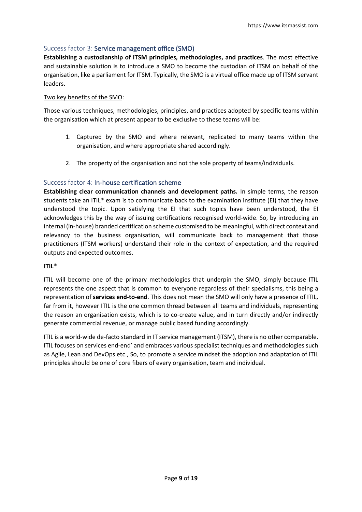#### <span id="page-8-0"></span>Success factor 3: Service management office (SMO)

**Establishing a custodianship of ITSM principles, methodologies, and practices**. The most effective and sustainable solution is to introduce a SMO to become the custodian of ITSM on behalf of the organisation, like a parliament for ITSM. Typically, the SMO is a virtual office made up of ITSM servant leaders.

#### Two key benefits of the SMO:

Those various techniques, methodologies, principles, and practices adopted by specific teams within the organisation which at present appear to be exclusive to these teams will be:

- 1. Captured by the SMO and where relevant, replicated to many teams within the organisation, and where appropriate shared accordingly.
- 2. The property of the organisation and not the sole property of teams/individuals.

#### <span id="page-8-1"></span>Success factor 4: In-house certification scheme

**Establishing clear communication channels and development paths.** In simple terms, the reason students take an ITIL® exam is to communicate back to the examination institute (EI) that they have understood the topic. Upon satisfying the EI that such topics have been understood, the EI acknowledges this by the way of issuing certifications recognised world-wide. So, by introducing an internal (in-house) branded certification scheme customised to be meaningful, with direct context and relevancy to the business organisation, will communicate back to management that those practitioners (ITSM workers) understand their role in the context of expectation, and the required outputs and expected outcomes.

#### **ITIL®**

ITIL will become one of the primary methodologies that underpin the SMO, simply because ITIL represents the one aspect that is common to everyone regardless of their specialisms, this being a representation of **services end-to-end**. This does not mean the SMO will only have a presence of ITIL, far from it, however ITIL is the one common thread between all teams and individuals, representing the reason an organisation exists, which is to co-create value, and in turn directly and/or indirectly generate commercial revenue, or manage public based funding accordingly.

ITIL is a world-wide de-facto standard in IT service management (ITSM), there is no other comparable. ITIL focuses on services end-end' and embraces various specialist techniques and methodologies such as Agile, Lean and DevOps etc., So, to promote a service mindset the adoption and adaptation of ITIL principles should be one of core fibers of every organisation, team and individual.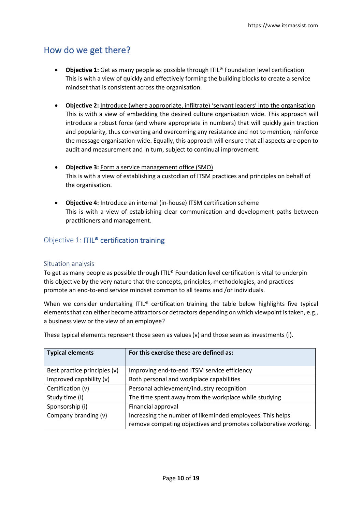# <span id="page-9-0"></span>How do we get there?

- **Objective 1:** Get as many people as possible through ITIL® Foundation level certification This is with a view of quickly and effectively forming the building blocks to create a service mindset that is consistent across the organisation.
- **Objective 2:** Introduce (where appropriate, infiltrate) 'servant leaders' into the organisation This is with a view of embedding the desired culture organisation wide. This approach will introduce a robust force (and where appropriate in numbers) that will quickly gain traction and popularity, thus converting and overcoming any resistance and not to mention, reinforce the message organisation-wide. Equally, this approach will ensure that all aspects are open to audit and measurement and in turn, subject to continual improvement.
- **Objective 3:** Form a service management office (SMO) This is with a view of establishing a custodian of ITSM practices and principles on behalf of the organisation.
- **Objective 4:** Introduce an internal (in-house) ITSM certification scheme This is with a view of establishing clear communication and development paths between practitioners and management.

### <span id="page-9-1"></span>Objective 1: ITIL® certification training

#### <span id="page-9-2"></span>Situation analysis

To get as many people as possible through ITIL® Foundation level certification is vital to underpin this objective by the very nature that the concepts, principles, methodologies, and practices promote an end-to-end service mindset common to all teams and /or individuals.

When we consider undertaking ITIL® certification training the table below highlights five typical elements that can either become attractors or detractors depending on which viewpoint is taken, e.g., a business view or the view of an employee?

| <b>Typical elements</b>      | For this exercise these are defined as:                         |
|------------------------------|-----------------------------------------------------------------|
| Best practice principles (v) | Improving end-to-end ITSM service efficiency                    |
| Improved capability (v)      | Both personal and workplace capabilities                        |
| Certification (v)            | Personal achievement/industry recognition                       |
| Study time (i)               | The time spent away from the workplace while studying           |
| Sponsorship (i)              | Financial approval                                              |
| Company branding (v)         | Increasing the number of likeminded employees. This helps       |
|                              | remove competing objectives and promotes collaborative working. |

These typical elements represent those seen as values (v) and those seen as investments (i).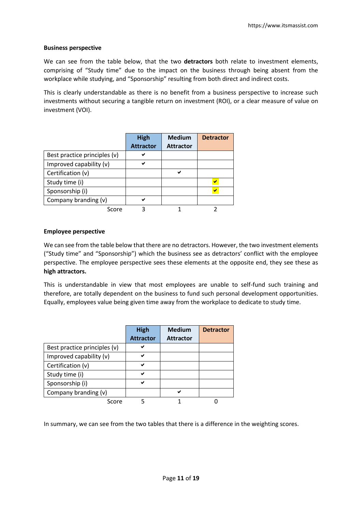#### **Business perspective**

We can see from the table below, that the two **detractors** both relate to investment elements, comprising of "Study time" due to the impact on the business through being absent from the workplace while studying, and "Sponsorship" resulting from both direct and indirect costs.

This is clearly understandable as there is no benefit from a business perspective to increase such investments without securing a tangible return on investment (ROI), or a clear measure of value on investment (VOI).

|                              | <b>High</b>      | <b>Medium</b>    | <b>Detractor</b> |
|------------------------------|------------------|------------------|------------------|
|                              | <b>Attractor</b> | <b>Attractor</b> |                  |
| Best practice principles (v) |                  |                  |                  |
| Improved capability (v)      | ✔                |                  |                  |
| Certification (v)            |                  | ✔                |                  |
| Study time (i)               |                  |                  |                  |
| Sponsorship (i)              |                  |                  |                  |
| Company branding (v)         | ✔                |                  |                  |
| Score                        |                  |                  |                  |

#### **Employee perspective**

We can see from the table below that there are no detractors. However, the two investment elements ("Study time" and "Sponsorship") which the business see as detractors' conflict with the employee perspective. The employee perspective sees these elements at the opposite end, they see these as **high attractors.**

This is understandable in view that most employees are unable to self-fund such training and therefore, are totally dependent on the business to fund such personal development opportunities. Equally, employees value being given time away from the workplace to dedicate to study time.

|                              | <b>High</b>      | <b>Medium</b>    | <b>Detractor</b> |
|------------------------------|------------------|------------------|------------------|
|                              | <b>Attractor</b> | <b>Attractor</b> |                  |
| Best practice principles (v) | ✔                |                  |                  |
| Improved capability (v)      | ✔                |                  |                  |
| Certification (v)            | ✔                |                  |                  |
| Study time (i)               | ✔                |                  |                  |
| Sponsorship (i)              | ✓                |                  |                  |
| Company branding (v)         |                  | ✔                |                  |
| Score                        |                  |                  |                  |

In summary, we can see from the two tables that there is a difference in the weighting scores.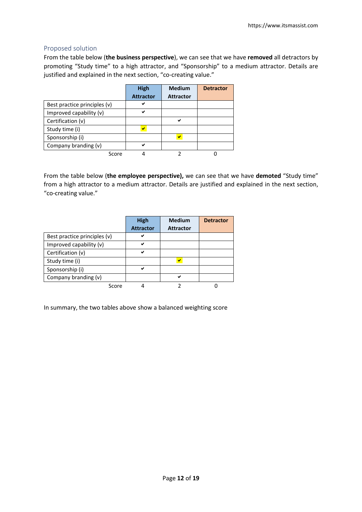#### <span id="page-11-0"></span>Proposed solution

From the table below (**the business perspective**), we can see that we have **removed** all detractors by promoting "Study time" to a high attractor, and "Sponsorship" to a medium attractor. Details are justified and explained in the next section, "co-creating value."

|                              | <b>High</b>      | <b>Medium</b>    | <b>Detractor</b> |
|------------------------------|------------------|------------------|------------------|
|                              | <b>Attractor</b> | <b>Attractor</b> |                  |
| Best practice principles (v) | м                |                  |                  |
| Improved capability (v)      | ✔                |                  |                  |
| Certification (v)            |                  | ✔                |                  |
| Study time (i)               |                  |                  |                  |
| Sponsorship (i)              |                  |                  |                  |
| Company branding (v)         | ✔                |                  |                  |
| Score                        |                  |                  |                  |

From the table below (**the employee perspective),** we can see that we have **demoted** "Study time" from a high attractor to a medium attractor. Details are justified and explained in the next section, "co-creating value."

|                              | <b>High</b>      | <b>Medium</b>           | <b>Detractor</b> |
|------------------------------|------------------|-------------------------|------------------|
|                              | <b>Attractor</b> | <b>Attractor</b>        |                  |
| Best practice principles (v) | ✔                |                         |                  |
| Improved capability (v)      | ✔                |                         |                  |
| Certification (v)            | ✔                |                         |                  |
| Study time (i)               |                  | $\overline{\mathbf{v}}$ |                  |
| Sponsorship (i)              | ✔                |                         |                  |
| Company branding (v)         |                  | ◡                       |                  |
| Score                        |                  |                         |                  |

In summary, the two tables above show a balanced weighting score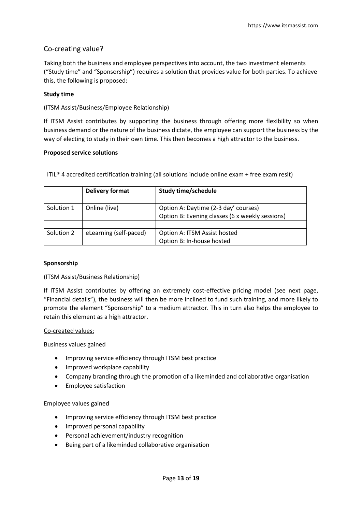#### Co-creating value?

Taking both the business and employee perspectives into account, the two investment elements ("Study time" and "Sponsorship") requires a solution that provides value for both parties. To achieve this, the following is proposed:

#### **Study time**

(ITSM Assist/Business/Employee Relationship)

If ITSM Assist contributes by supporting the business through offering more flexibility so when business demand or the nature of the business dictate, the employee can support the business by the way of electing to study in their own time. This then becomes a high attractor to the business.

#### **Proposed service solutions**

|            | <b>Delivery format</b> | <b>Study time/schedule</b>                      |
|------------|------------------------|-------------------------------------------------|
|            |                        |                                                 |
| Solution 1 | Online (live)          | Option A: Daytime (2-3 day' courses)            |
|            |                        | Option B: Evening classes (6 x weekly sessions) |
|            |                        |                                                 |
| Solution 2 | eLearning (self-paced) | Option A: ITSM Assist hosted                    |
|            |                        | Option B: In-house hosted                       |

ITIL® 4 accredited certification training (all solutions include online exam + free exam resit)

#### **Sponsorship**

#### (ITSM Assist/Business Relationship)

If ITSM Assist contributes by offering an extremely cost-effective pricing model (see next page, "Financial details"), the business will then be more inclined to fund such training, and more likely to promote the element "Sponsorship" to a medium attractor. This in turn also helps the employee to retain this element as a high attractor.

#### Co-created values:

Business values gained

- Improving service efficiency through ITSM best practice
- Improved workplace capability
- Company branding through the promotion of a likeminded and collaborative organisation
- Employee satisfaction

Employee values gained

- Improving service efficiency through ITSM best practice
- Improved personal capability
- Personal achievement/industry recognition
- Being part of a likeminded collaborative organisation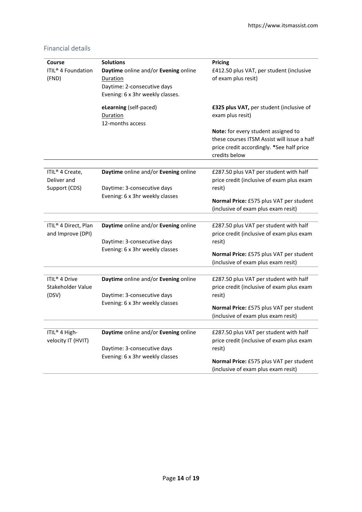<span id="page-13-0"></span>

| Financial details |  |
|-------------------|--|
|                   |  |

| Course<br><b>ITIL<sup>®</sup></b> 4 Foundation<br>(FND) | <b>Solutions</b><br>Daytime online and/or Evening online<br>Duration<br>Daytime: 2-consecutive days<br>Evening: 6 x 3hr weekly classes. | Pricing<br>£412.50 plus VAT, per student (inclusive<br>of exam plus resit)                                                                       |
|---------------------------------------------------------|-----------------------------------------------------------------------------------------------------------------------------------------|--------------------------------------------------------------------------------------------------------------------------------------------------|
|                                                         | eLearning (self-paced)<br>Duration<br>12-months access                                                                                  | £325 plus VAT, per student (inclusive of<br>exam plus resit)                                                                                     |
|                                                         |                                                                                                                                         | Note: for every student assigned to<br>these courses ITSM Assist will issue a half<br>price credit accordingly. *See half price<br>credits below |
|                                                         |                                                                                                                                         |                                                                                                                                                  |
| ITIL <sup>®</sup> 4 Create,<br>Deliver and              | Daytime online and/or Evening online                                                                                                    | £287.50 plus VAT per student with half<br>price credit (inclusive of exam plus exam                                                              |
| Support (CDS)                                           | Daytime: 3-consecutive days                                                                                                             | resit)                                                                                                                                           |
|                                                         | Evening: 6 x 3hr weekly classes                                                                                                         | Normal Price: £575 plus VAT per student                                                                                                          |
|                                                         |                                                                                                                                         | (inclusive of exam plus exam resit)                                                                                                              |
|                                                         |                                                                                                                                         |                                                                                                                                                  |
| ITIL <sup>®</sup> 4 Direct, Plan                        | Daytime online and/or Evening online                                                                                                    | £287.50 plus VAT per student with half                                                                                                           |
| and Improve (DPI)                                       |                                                                                                                                         | price credit (inclusive of exam plus exam                                                                                                        |
|                                                         | Daytime: 3-consecutive days                                                                                                             | resit)                                                                                                                                           |
|                                                         | Evening: 6 x 3hr weekly classes                                                                                                         | Normal Price: £575 plus VAT per student                                                                                                          |
|                                                         |                                                                                                                                         | (inclusive of exam plus exam resit)                                                                                                              |
| ITIL <sup>®</sup> 4 Drive                               | Daytime online and/or Evening online                                                                                                    | £287.50 plus VAT per student with half                                                                                                           |
| Stakeholder Value                                       |                                                                                                                                         | price credit (inclusive of exam plus exam                                                                                                        |
| (DSV)                                                   | Daytime: 3-consecutive days                                                                                                             | resit)                                                                                                                                           |
|                                                         | Evening: 6 x 3hr weekly classes                                                                                                         |                                                                                                                                                  |
|                                                         |                                                                                                                                         | Normal Price: £575 plus VAT per student                                                                                                          |
|                                                         |                                                                                                                                         | (inclusive of exam plus exam resit)                                                                                                              |
| ITIL <sup>®</sup> 4 High-                               | Daytime online and/or Evening online                                                                                                    | £287.50 plus VAT per student with half                                                                                                           |
| velocity IT (HVIT)                                      |                                                                                                                                         | price credit (inclusive of exam plus exam                                                                                                        |
|                                                         | Daytime: 3-consecutive days                                                                                                             | resit)                                                                                                                                           |
|                                                         | Evening: 6 x 3hr weekly classes                                                                                                         |                                                                                                                                                  |
|                                                         |                                                                                                                                         | Normal Price: £575 plus VAT per student<br>(inclusive of exam plus exam resit)                                                                   |
|                                                         |                                                                                                                                         |                                                                                                                                                  |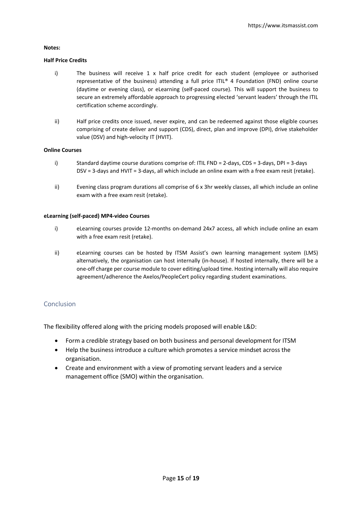#### **Notes:**

#### **Half Price Credits**

- i) The business will receive 1 x half price credit for each student (employee or authorised representative of the business) attending a full price ITIL® 4 Foundation (FND) online course (daytime or evening class), or eLearning (self-paced course). This will support the business to secure an extremely affordable approach to progressing elected 'servant leaders' through the ITIL certification scheme accordingly.
- ii) Half price credits once issued, never expire, and can be redeemed against those eligible courses comprising of create deliver and support (CDS), direct, plan and improve (DPI), drive stakeholder value (DSV) and high-velocity IT (HVIT).

#### **Online Courses**

- i) Standard daytime course durations comprise of: ITIL FND = 2-days, CDS = 3-days, DPI = 3-days DSV = 3-days and HVIT = 3-days, all which include an online exam with a free exam resit (retake).
- ii) Evening class program durations all comprise of 6 x 3hr weekly classes, all which include an online exam with a free exam resit (retake).

#### **eLearning (self-paced) MP4-video Courses**

- i) eLearning courses provide 12-months on-demand 24x7 access, all which include online an exam with a free exam resit (retake).
- ii) eLearning courses can be hosted by ITSM Assist's own learning management system (LMS) alternatively, the organisation can host internally (in-house). If hosted internally, there will be a one-off charge per course module to cover editing/upload time. Hosting internally will also require agreement/adherence the Axelos/PeopleCert policy regarding student examinations.

#### <span id="page-14-0"></span>Conclusion

The flexibility offered along with the pricing models proposed will enable L&D:

- Form a credible strategy based on both business and personal development for ITSM
- Help the business introduce a culture which promotes a service mindset across the organisation.
- Create and environment with a view of promoting servant leaders and a service management office (SMO) within the organisation.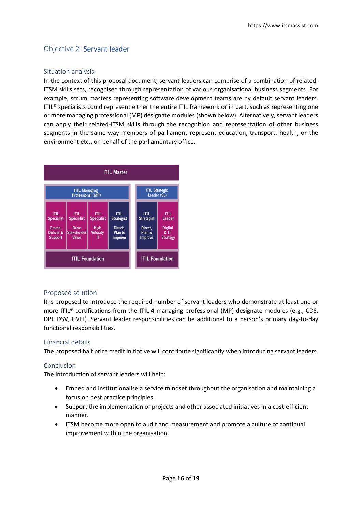### <span id="page-15-0"></span>Objective 2: Servant leader

#### <span id="page-15-1"></span>Situation analysis

In the context of this proposal document, servant leaders can comprise of a combination of related-ITSM skills sets, recognised through representation of various organisational business segments. For example, scrum masters representing software development teams are by default servant leaders. ITIL<sup>®</sup> specialists could represent either the entire ITIL framework or in part, such as representing one or more managing professional (MP) designate modules (shown below). Alternatively, servant leaders can apply their related-ITSM skills through the recognition and representation of other business segments in the same way members of parliament represent education, transport, health, or the environment etc., on behalf of the parliamentary office.



#### <span id="page-15-2"></span>Proposed solution

It is proposed to introduce the required number of servant leaders who demonstrate at least one or more ITIL® certifications from the ITIL 4 managing professional (MP) designate modules (e.g., CDS, DPI, DSV, HVIT). Servant leader responsibilities can be additional to a person's primary day-to-day functional responsibilities.

#### <span id="page-15-3"></span>Financial details

The proposed half price credit initiative will contribute significantly when introducing servant leaders.

#### <span id="page-15-4"></span>Conclusion

The introduction of servant leaders will help:

- Embed and institutionalise a service mindset throughout the organisation and maintaining a focus on best practice principles.
- Support the implementation of projects and other associated initiatives in a cost-efficient manner.
- ITSM become more open to audit and measurement and promote a culture of continual improvement within the organisation.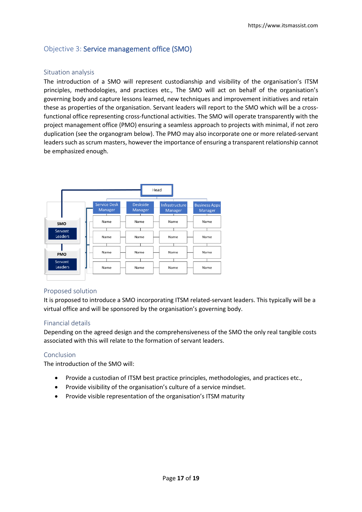### <span id="page-16-0"></span>Objective 3: Service management office (SMO)

#### <span id="page-16-1"></span>Situation analysis

The introduction of a SMO will represent custodianship and visibility of the organisation's ITSM principles, methodologies, and practices etc., The SMO will act on behalf of the organisation's governing body and capture lessons learned, new techniques and improvement initiatives and retain these as properties of the organisation. Servant leaders will report to the SMO which will be a crossfunctional office representing cross-functional activities. The SMO will operate transparently with the project management office (PMO) ensuring a seamless approach to projects with minimal, if not zero duplication (see the organogram below). The PMO may also incorporate one or more related-servant leaders such as scrum masters, however the importance of ensuring a transparent relationship cannot be emphasized enough.



#### <span id="page-16-2"></span>Proposed solution

It is proposed to introduce a SMO incorporating ITSM related-servant leaders. This typically will be a virtual office and will be sponsored by the organisation's governing body.

#### <span id="page-16-3"></span>Financial details

Depending on the agreed design and the comprehensiveness of the SMO the only real tangible costs associated with this will relate to the formation of servant leaders.

#### <span id="page-16-4"></span>Conclusion

The introduction of the SMO will:

- Provide a custodian of ITSM best practice principles, methodologies, and practices etc.,
- Provide visibility of the organisation's culture of a service mindset.
- Provide visible representation of the organisation's ITSM maturity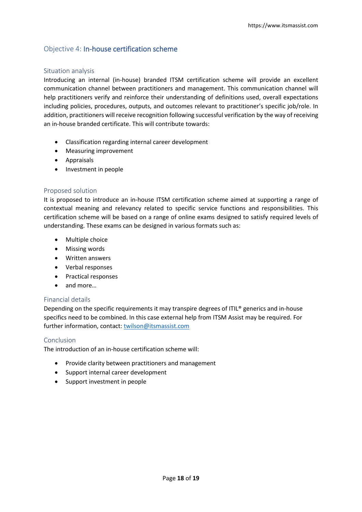### <span id="page-17-0"></span>Objective 4: In-house certification scheme

#### <span id="page-17-1"></span>Situation analysis

Introducing an internal (in-house) branded ITSM certification scheme will provide an excellent communication channel between practitioners and management. This communication channel will help practitioners verify and reinforce their understanding of definitions used, overall expectations including policies, procedures, outputs, and outcomes relevant to practitioner's specific job/role. In addition, practitioners will receive recognition following successful verification by the way of receiving an in-house branded certificate. This will contribute towards:

- Classification regarding internal career development
- Measuring improvement
- Appraisals
- Investment in people

#### <span id="page-17-2"></span>Proposed solution

It is proposed to introduce an in-house ITSM certification scheme aimed at supporting a range of contextual meaning and relevancy related to specific service functions and responsibilities. This certification scheme will be based on a range of online exams designed to satisfy required levels of understanding. These exams can be designed in various formats such as:

- Multiple choice
- Missing words
- Written answers
- Verbal responses
- Practical responses
- and more…

#### <span id="page-17-3"></span>Financial details

Depending on the specific requirements it may transpire degrees of ITIL® generics and in-house specifics need to be combined. In this case external help from ITSM Assist may be required. For further information, contact[: twilson@itsmassist.com](mailto:twilson@itsmassist.com)

#### <span id="page-17-4"></span>Conclusion

The introduction of an in-house certification scheme will:

- Provide clarity between practitioners and management
- Support internal career development
- Support investment in people